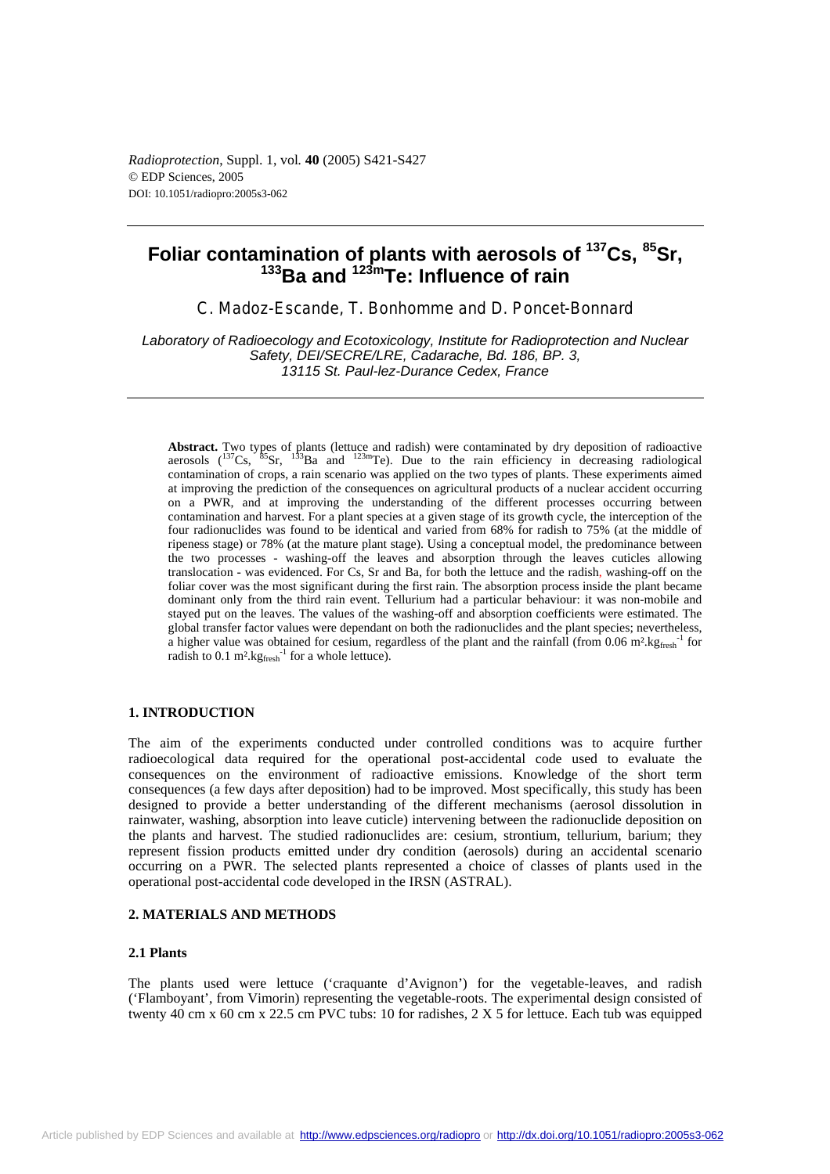*Radioprotection*, Suppl. 1, vol*.* **40** (2005) S421-S427 © EDP Sciences, 2005 DOI: 10.1051/radiopro:2005s3-062

# **Foliar contamination of plants with aerosols of 137Cs, 85Sr, 133Ba and 123mTe: Influence of rain**

C. Madoz-Escande, T. Bonhomme and D. Poncet-Bonnard

*Laboratory of Radioecology and Ecotoxicology, Institute for Radioprotection and Nuclear Safety, DEI/SECRE/LRE, Cadarache, Bd. 186, BP. 3, 13115 St. Paul-lez-Durance Cedex, France* 

**Abstract.** Two types of plants (lettuce and radish) were contaminated by dry deposition of radioactive aerosols  $(^{137}Cs$ ,  $^{85}Sr$ ,  $^{133}Ba$  and  $^{123m}Te$ ). Due to the rain efficiency in decreasing radiological contamination of crops, a rain scenario was applied on the two types of plants. These experiments aimed at improving the prediction of the consequences on agricultural products of a nuclear accident occurring on a PWR, and at improving the understanding of the different processes occurring between contamination and harvest. For a plant species at a given stage of its growth cycle, the interception of the four radionuclides was found to be identical and varied from 68% for radish to 75% (at the middle of ripeness stage) or 78% (at the mature plant stage). Using a conceptual model, the predominance between the two processes - washing-off the leaves and absorption through the leaves cuticles allowing translocation - was evidenced. For Cs, Sr and Ba, for both the lettuce and the radish, washing-off on the foliar cover was the most significant during the first rain. The absorption process inside the plant became dominant only from the third rain event. Tellurium had a particular behaviour: it was non-mobile and stayed put on the leaves. The values of the washing-off and absorption coefficients were estimated. The global transfer factor values were dependant on both the radionuclides and the plant species; nevertheless, a higher value was obtained for cesium, regardless of the plant and the rainfall (from  $0.06 \text{ m}^2 \text{.} \text{kg}_{\text{free}}^{\text{-1}}$  for radish to  $0.1 \text{ m}^2 \text{.} \text{kg}$ <sub>fresh</sub><sup>-1</sup> for a whole lettuce).

# **1. INTRODUCTION**

The aim of the experiments conducted under controlled conditions was to acquire further radioecological data required for the operational post-accidental code used to evaluate the consequences on the environment of radioactive emissions. Knowledge of the short term consequences (a few days after deposition) had to be improved. Most specifically, this study has been designed to provide a better understanding of the different mechanisms (aerosol dissolution in rainwater, washing, absorption into leave cuticle) intervening between the radionuclide deposition on the plants and harvest. The studied radionuclides are: cesium, strontium, tellurium, barium; they represent fission products emitted under dry condition (aerosols) during an accidental scenario occurring on a PWR. The selected plants represented a choice of classes of plants used in the operational post-accidental code developed in the IRSN (ASTRAL).

## **2. MATERIALS AND METHODS**

# **2.1 Plants**

The plants used were lettuce ('craquante d'Avignon') for the vegetable-leaves, and radish ('Flamboyant', from Vimorin) representing the vegetable-roots. The experimental design consisted of twenty 40 cm x 60 cm x 22.5 cm PVC tubs: 10 for radishes, 2 X 5 for lettuce. Each tub was equipped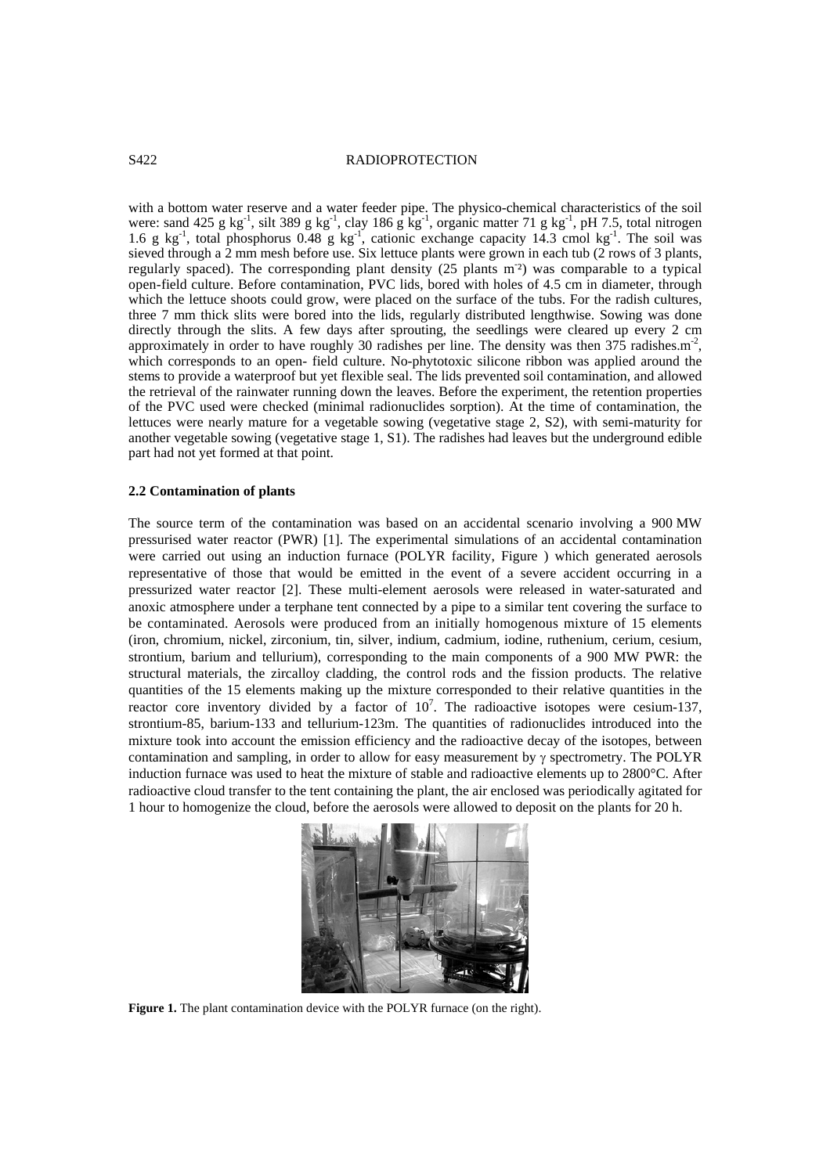## S422 RADIOPROTECTION

with a bottom water reserve and a water feeder pipe. The physico-chemical characteristics of the soil were: sand 425 g kg<sup>-1</sup>, silt 389 g kg<sup>-1</sup>, clay 186 g kg<sup>-1</sup>, organic matter 71 g kg<sup>-1</sup>, pH 7.5, total nitrogen 1.6 g kg<sup>-1</sup>, total phosphorus 0.48 g kg<sup>-1</sup>, cationic exchange capacity 14.3 cmol kg<sup>-1</sup>. The soil was sieved through a 2 mm mesh before use. Six lettuce plants were grown in each tub (2 rows of 3 plants, regularly spaced). The corresponding plant density (25 plants m<sup>-2</sup>) was comparable to a typical open-field culture. Before contamination, PVC lids, bored with holes of 4.5 cm in diameter, through which the lettuce shoots could grow, were placed on the surface of the tubs. For the radish cultures, three 7 mm thick slits were bored into the lids, regularly distributed lengthwise. Sowing was done directly through the slits. A few days after sprouting, the seedlings were cleared up every 2 cm approximately in order to have roughly 30 radishes per line. The density was then 375 radishes.m<sup>-2</sup>, which corresponds to an open- field culture. No-phytotoxic silicone ribbon was applied around the stems to provide a waterproof but yet flexible seal. The lids prevented soil contamination, and allowed the retrieval of the rainwater running down the leaves. Before the experiment, the retention properties of the PVC used were checked (minimal radionuclides sorption). At the time of contamination, the lettuces were nearly mature for a vegetable sowing (vegetative stage 2, S2), with semi-maturity for another vegetable sowing (vegetative stage 1, S1). The radishes had leaves but the underground edible part had not yet formed at that point.

## **2.2 Contamination of plants**

The source term of the contamination was based on an accidental scenario involving a 900 MW pressurised water reactor (PWR) [1]. The experimental simulations of an accidental contamination were carried out using an induction furnace (POLYR facility, Figure ) which generated aerosols representative of those that would be emitted in the event of a severe accident occurring in a pressurized water reactor [2]. These multi-element aerosols were released in water-saturated and anoxic atmosphere under a terphane tent connected by a pipe to a similar tent covering the surface to be contaminated. Aerosols were produced from an initially homogenous mixture of 15 elements (iron, chromium, nickel, zirconium, tin, silver, indium, cadmium, iodine, ruthenium, cerium, cesium, strontium, barium and tellurium), corresponding to the main components of a 900 MW PWR: the structural materials, the zircalloy cladding, the control rods and the fission products. The relative quantities of the 15 elements making up the mixture corresponded to their relative quantities in the reactor core inventory divided by a factor of  $10^7$ . The radioactive isotopes were cesium-137, strontium-85, barium-133 and tellurium-123m. The quantities of radionuclides introduced into the mixture took into account the emission efficiency and the radioactive decay of the isotopes, between contamination and sampling, in order to allow for easy measurement by  $\gamma$  spectrometry. The POLYR induction furnace was used to heat the mixture of stable and radioactive elements up to 2800°C. After radioactive cloud transfer to the tent containing the plant, the air enclosed was periodically agitated for 1 hour to homogenize the cloud, before the aerosols were allowed to deposit on the plants for 20 h.



Figure 1. The plant contamination device with the POLYR furnace (on the right).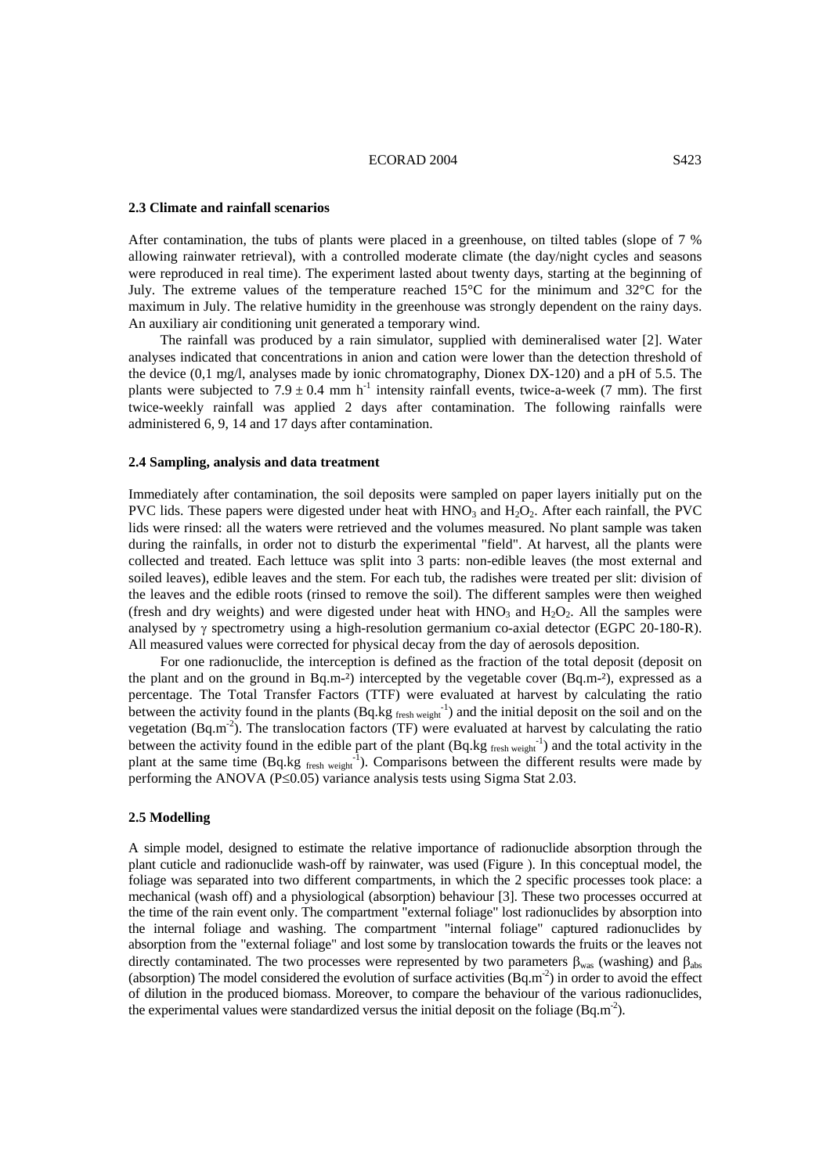## ECORAD 2004 S423

# **2.3 Climate and rainfall scenarios**

After contamination, the tubs of plants were placed in a greenhouse, on tilted tables (slope of 7 % allowing rainwater retrieval), with a controlled moderate climate (the day/night cycles and seasons were reproduced in real time). The experiment lasted about twenty days, starting at the beginning of July. The extreme values of the temperature reached 15°C for the minimum and 32°C for the maximum in July. The relative humidity in the greenhouse was strongly dependent on the rainy days. An auxiliary air conditioning unit generated a temporary wind.

The rainfall was produced by a rain simulator, supplied with demineralised water [2]. Water analyses indicated that concentrations in anion and cation were lower than the detection threshold of the device (0,1 mg/l, analyses made by ionic chromatography, Dionex DX-120) and a pH of 5.5. The plants were subjected to  $7.9 \pm 0.4$  mm h<sup>-1</sup> intensity rainfall events, twice-a-week (7 mm). The first twice-weekly rainfall was applied 2 days after contamination. The following rainfalls were administered 6, 9, 14 and 17 days after contamination.

## **2.4 Sampling, analysis and data treatment**

Immediately after contamination, the soil deposits were sampled on paper layers initially put on the PVC lids. These papers were digested under heat with  $HNO<sub>3</sub>$  and  $H<sub>2</sub>O<sub>2</sub>$ . After each rainfall, the PVC lids were rinsed: all the waters were retrieved and the volumes measured. No plant sample was taken during the rainfalls, in order not to disturb the experimental "field". At harvest, all the plants were collected and treated. Each lettuce was split into 3 parts: non-edible leaves (the most external and soiled leaves), edible leaves and the stem. For each tub, the radishes were treated per slit: division of the leaves and the edible roots (rinsed to remove the soil). The different samples were then weighed (fresh and dry weights) and were digested under heat with  $HNO<sub>3</sub>$  and  $H<sub>2</sub>O<sub>2</sub>$ . All the samples were analysed by γ spectrometry using a high-resolution germanium co-axial detector (EGPC 20-180-R). All measured values were corrected for physical decay from the day of aerosols deposition.

For one radionuclide, the interception is defined as the fraction of the total deposit (deposit on the plant and on the ground in Bq.m-<sup>2</sup>) intercepted by the vegetable cover (Bq.m-<sup>2</sup>), expressed as a percentage. The Total Transfer Factors (TTF) were evaluated at harvest by calculating the ratio between the activity found in the plants  $(Bq \text{.} kg \text{.}^{1})$  and the initial deposit on the soil and on the vegetation (Bq.m<sup>-2</sup>). The translocation factors (TF) were evaluated at harvest by calculating the ratio between the activity found in the edible part of the plant  $(Bq.kg_{\text{ fresh weight}}^{-1})$  and the total activity in the plant at the same time  $(Bq.kg_{\text{ fresh weight}}^{-1})$ . Comparisons between the different results were made by performing the ANOVA (P≤0.05) variance analysis tests using Sigma Stat 2.03.

## **2.5 Modelling**

A simple model, designed to estimate the relative importance of radionuclide absorption through the plant cuticle and radionuclide wash-off by rainwater, was used (Figure ). In this conceptual model, the foliage was separated into two different compartments, in which the 2 specific processes took place: a mechanical (wash off) and a physiological (absorption) behaviour [3]. These two processes occurred at the time of the rain event only. The compartment "external foliage" lost radionuclides by absorption into the internal foliage and washing. The compartment "internal foliage" captured radionuclides by absorption from the "external foliage" and lost some by translocation towards the fruits or the leaves not directly contaminated. The two processes were represented by two parameters  $\beta_{\text{was}}$  (washing) and  $\beta_{\text{abs}}$ (absorption) The model considered the evolution of surface activities  $(Bq.m^{-2})$  in order to avoid the effect of dilution in the produced biomass. Moreover, to compare the behaviour of the various radionuclides, the experimental values were standardized versus the initial deposit on the foliage  $(Bq.m^{-2})$ .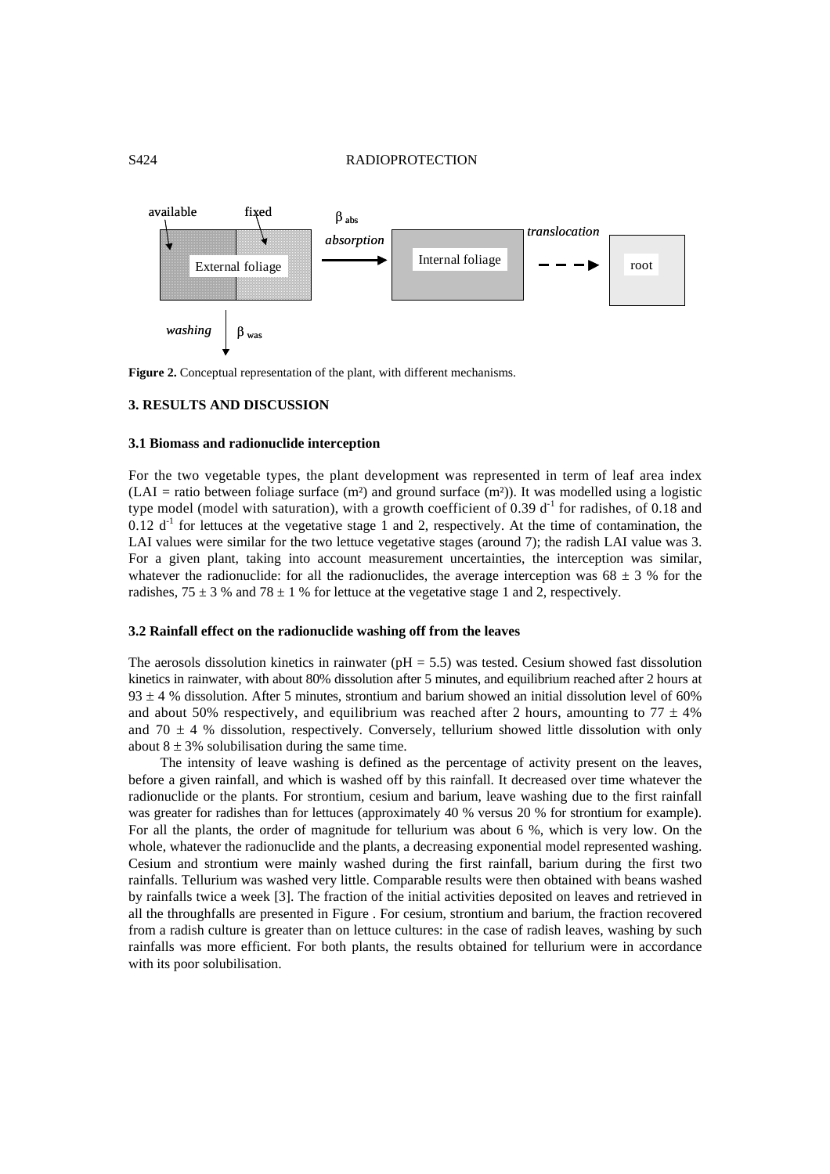# S424 RADIOPROTECTION



Figure 2. Conceptual representation of the plant, with different mechanisms.

# **3. RESULTS AND DISCUSSION**

### **3.1 Biomass and radionuclide interception**

For the two vegetable types, the plant development was represented in term of leaf area index  $(LAI = ratio between foliage surface (m²) and ground surface (m²)).$  It was modelled using a logistic type model (model with saturation), with a growth coefficient of 0.39  $d<sup>-1</sup>$  for radishes, of 0.18 and  $0.12$  d<sup>-1</sup> for lettuces at the vegetative stage 1 and 2, respectively. At the time of contamination, the LAI values were similar for the two lettuce vegetative stages (around 7); the radish LAI value was 3. For a given plant, taking into account measurement uncertainties, the interception was similar, whatever the radionuclide: for all the radionuclides, the average interception was 68  $\pm$  3 % for the radishes,  $75 \pm 3$  % and  $78 \pm 1$  % for lettuce at the vegetative stage 1 and 2, respectively.

# **3.2 Rainfall effect on the radionuclide washing off from the leaves**

The aerosols dissolution kinetics in rainwater ( $pH = 5.5$ ) was tested. Cesium showed fast dissolution kinetics in rainwater, with about 80% dissolution after 5 minutes, and equilibrium reached after 2 hours at 93  $\pm$  4 % dissolution. After 5 minutes, strontium and barium showed an initial dissolution level of 60% and about 50% respectively, and equilibrium was reached after 2 hours, amounting to  $77 \pm 4\%$ and 70  $\pm$  4 % dissolution, respectively. Conversely, tellurium showed little dissolution with only about  $8 \pm 3\%$  solubilisation during the same time.

The intensity of leave washing is defined as the percentage of activity present on the leaves, before a given rainfall, and which is washed off by this rainfall. It decreased over time whatever the radionuclide or the plants. For strontium, cesium and barium, leave washing due to the first rainfall was greater for radishes than for lettuces (approximately 40 % versus 20 % for strontium for example). For all the plants, the order of magnitude for tellurium was about 6 %, which is very low. On the whole, whatever the radionuclide and the plants, a decreasing exponential model represented washing. Cesium and strontium were mainly washed during the first rainfall, barium during the first two rainfalls. Tellurium was washed very little. Comparable results were then obtained with beans washed by rainfalls twice a week [3]. The fraction of the initial activities deposited on leaves and retrieved in all the throughfalls are presented in Figure . For cesium, strontium and barium, the fraction recovered from a radish culture is greater than on lettuce cultures: in the case of radish leaves, washing by such rainfalls was more efficient. For both plants, the results obtained for tellurium were in accordance with its poor solubilisation.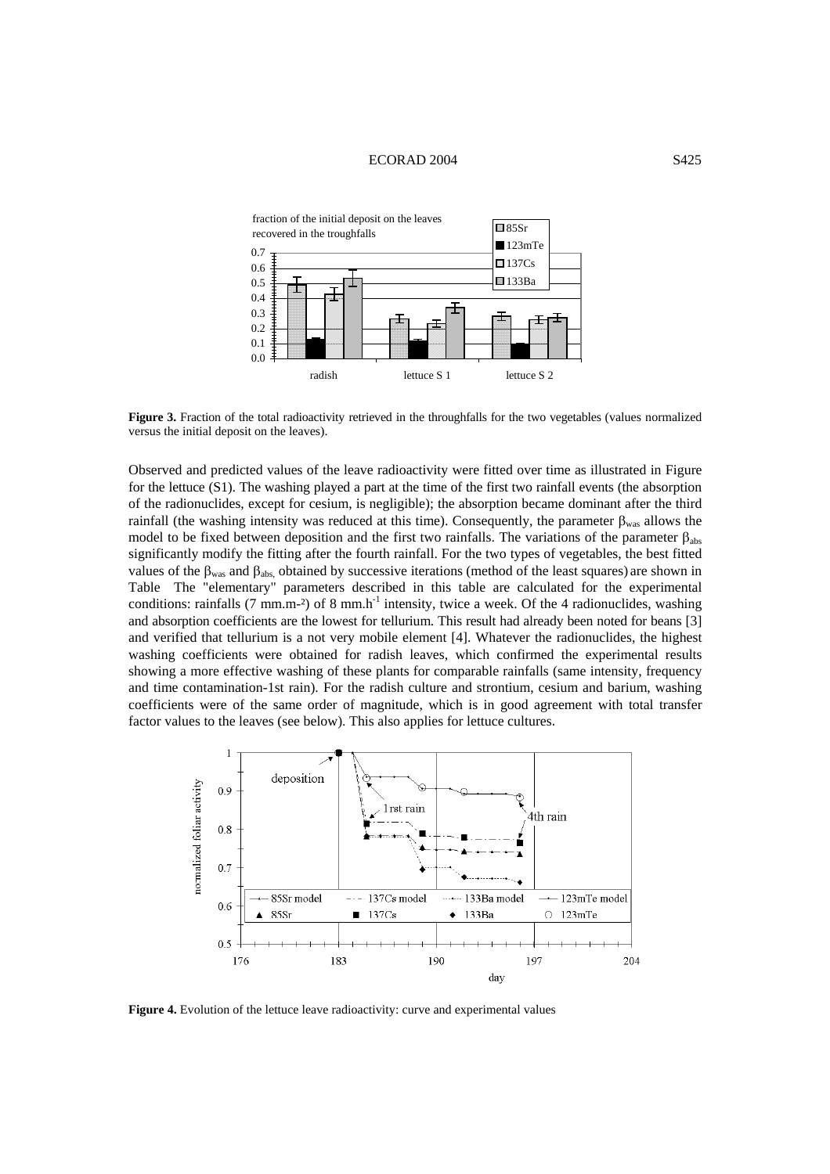## ECORAD 2004 S425



Figure 3. Fraction of the total radioactivity retrieved in the throughfalls for the two vegetables (values normalized versus the initial deposit on the leaves).

Observed and predicted values of the leave radioactivity were fitted over time as illustrated in Figure for the lettuce (S1). The washing played a part at the time of the first two rainfall events (the absorption of the radionuclides, except for cesium, is negligible); the absorption became dominant after the third rainfall (the washing intensity was reduced at this time). Consequently, the parameter  $\beta_{\text{was}}$  allows the model to be fixed between deposition and the first two rainfalls. The variations of the parameter  $β<sub>abs</sub>$ significantly modify the fitting after the fourth rainfall. For the two types of vegetables, the best fitted values of the β<sub>was</sub> and β<sub>abs,</sub> obtained by successive iterations (method of the least squares) are shown in Table The "elementary" parameters described in this table are calculated for the experimental conditions: rainfalls (7 mm.m<sup>-2</sup>) of 8 mm.h<sup>-1</sup> intensity, twice a week. Of the 4 radionuclides, washing and absorption coefficients are the lowest for tellurium. This result had already been noted for beans [3] and verified that tellurium is a not very mobile element [4]. Whatever the radionuclides, the highest washing coefficients were obtained for radish leaves, which confirmed the experimental results showing a more effective washing of these plants for comparable rainfalls (same intensity, frequency and time contamination-1st rain). For the radish culture and strontium, cesium and barium, washing coefficients were of the same order of magnitude, which is in good agreement with total transfer factor values to the leaves (see below). This also applies for lettuce cultures.



Figure 4. Evolution of the lettuce leave radioactivity: curve and experimental values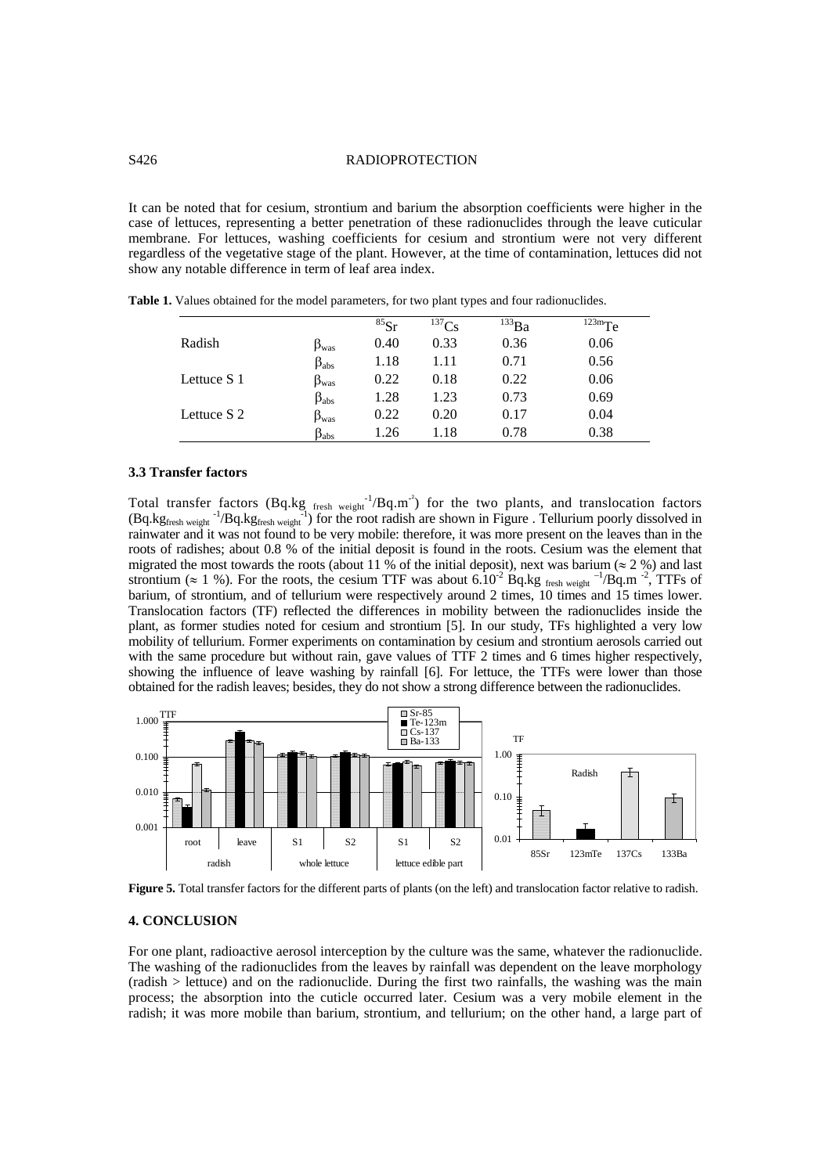# S426 RADIOPROTECTION

It can be noted that for cesium, strontium and barium the absorption coefficients were higher in the case of lettuces, representing a better penetration of these radionuclides through the leave cuticular membrane. For lettuces, washing coefficients for cesium and strontium were not very different regardless of the vegetative stage of the plant. However, at the time of contamination, lettuces did not show any notable difference in term of leaf area index.

|             |                      | ${}^{85}Sr$ | $^{137}Cs$ | $^{133}Ba$ | $123m$ Te |
|-------------|----------------------|-------------|------------|------------|-----------|
| Radish      | $\beta_{\text{was}}$ | 0.40        | 0.33       | 0.36       | 0.06      |
|             | $\beta_{\rm abs}$    | 1.18        | 1.11       | 0.71       | 0.56      |
| Lettuce S 1 | $\beta_{\text{was}}$ | 0.22        | 0.18       | 0.22       | 0.06      |
|             | $\beta_{\rm abs}$    | 1.28        | 1.23       | 0.73       | 0.69      |
| Lettuce S 2 | $\beta_{\text{was}}$ | 0.22        | 0.20       | 0.17       | 0.04      |
|             | $\beta_{\rm abs}$    | 1.26        | 1.18       | 0.78       | 0.38      |

**Table 1.** Values obtained for the model parameters, for two plant types and four radionuclides.

#### **3.3 Transfer factors**

Total transfer factors (Bq.kg  $_{\text{fresh weight}}^{-1}/Bq.m^2$ ) for the two plants, and translocation factors  $(Bq.kg_{\text{fresh weight}}^{-1}/Bq.kg_{\text{fresh weight}}^{-1})$  for the root radish are shown in Figure . Tellurium poorly dissolved in rainwater and it was not found to be very mobile: therefore, it was more present on the leaves than in the roots of radishes; about 0.8 % of the initial deposit is found in the roots. Cesium was the element that migrated the most towards the roots (about 11 % of the initial deposit), next was barium ( $\approx$  2 %) and last strontium ( $\approx 1$  %). For the roots, the cesium TTF was about  $6.10^{-2}$  Bq.kg fresh weight <sup>-1</sup>/Bq.m <sup>-2</sup>, TTFs of barium, of strontium, and of tellurium were respectively around 2 times, 10 times and 15 times lower. Translocation factors (TF) reflected the differences in mobility between the radionuclides inside the plant, as former studies noted for cesium and strontium [5]. In our study, TFs highlighted a very low mobility of tellurium. Former experiments on contamination by cesium and strontium aerosols carried out with the same procedure but without rain, gave values of TTF 2 times and 6 times higher respectively, showing the influence of leave washing by rainfall [6]. For lettuce, the TTFs were lower than those obtained for the radish leaves; besides, they do not show a strong difference between the radionuclides.



**Figure 5.** Total transfer factors for the different parts of plants (on the left) and translocation factor relative to radish.

### **4. CONCLUSION**

For one plant, radioactive aerosol interception by the culture was the same, whatever the radionuclide. The washing of the radionuclides from the leaves by rainfall was dependent on the leave morphology (radish > lettuce) and on the radionuclide. During the first two rainfalls, the washing was the main process; the absorption into the cuticle occurred later. Cesium was a very mobile element in the radish; it was more mobile than barium, strontium, and tellurium; on the other hand, a large part of